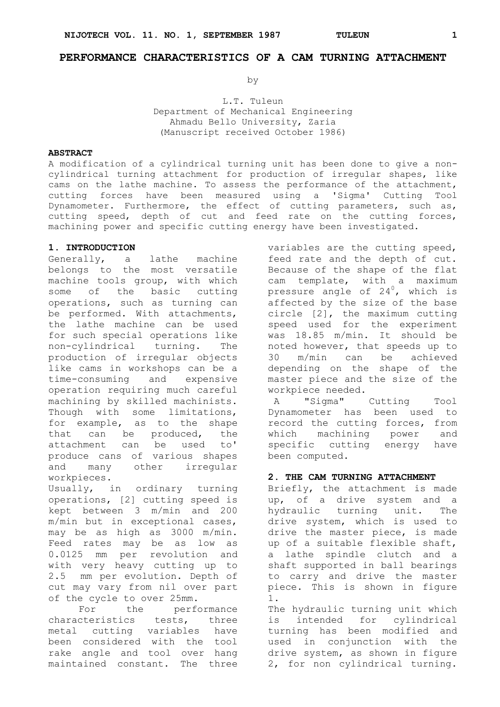# **PERFORMANCE CHARACTERISTICS OF A CAM TURNING ATTACHMENT**

by

L.T. Tuleun Department of Mechanical Engineering Ahmadu Bello University, Zaria (Manuscript received October 1986)

# **ABSTRACT**

A modification of a cylindrical turning unit has been done to give a noncylindrical turning attachment for production of irregular shapes, like cams on the lathe machine. To assess the performance of the attachment, cutting forces have been measured using a 'Sigma' Cutting Tool Dynamometer. Furthermore, the effect of cutting parameters, such as, cutting speed, depth of cut and feed rate on the cutting forces, machining power and specific cutting energy have been investigated.

#### **1. INTRODUCTION**

Generally, a lathe machine belongs to the most versatile machine tools group, with which some of the basic cutting operations, such as turning can be performed. With attachments, the lathe machine can be used for such special operations like non-cylindrical turning. The production of irregular objects like cams in workshops can be a time-consuming and expensive operation requiring much careful machining by skilled machinists. Though with some limitations, for example, as to the shape that can be produced, the attachment can be used to' produce cans of various shapes and many other irregular workpieces.

Usually, in ordinary turning operations, [2] cutting speed is kept between 3 m/min and 200 m/min but in exceptional cases, may be as high as 3000 m/min. Feed rates may be as low as 0.0125 mm per revolution and with very heavy cutting up to 2.5 mm per evolution. Depth of cut may vary from nil over part of the cycle to over 25mm.

For the performance characteristics tests, three metal cutting variables have been considered with the tool rake angle and tool over hang maintained constant. The three

variables are the cutting speed, feed rate and the depth of cut. Because of the shape of the flat cam template, with a maximum pressure angle of 24<sup>0</sup>, which is affected by the size of the base circle [2], the maximum cutting speed used for the experiment was 18.85 m/min. It should be noted however, that speeds up to 30 m/min can be achieved depending on the shape of the master piece and the size of the workpiece needed.

A "Sigma" Cutting Tool Dynamometer has been used to record the cutting forces, from which machining power and specific cutting energy have been computed.

# **2. THE CAM TURNING ATTACHMENT**

Briefly, the attachment is made up, of a drive system and a hydraulic turning unit. The drive system, which is used to drive the master piece, is made up of a suitable flexible shaft, a lathe spindle clutch and a shaft supported in ball bearings to carry and drive the master piece. This is shown in figure 1.

The hydraulic turning unit which is intended for cylindrical turning has been modified and used in conjunction with the drive system, as shown in figure 2, for non cylindrical turning.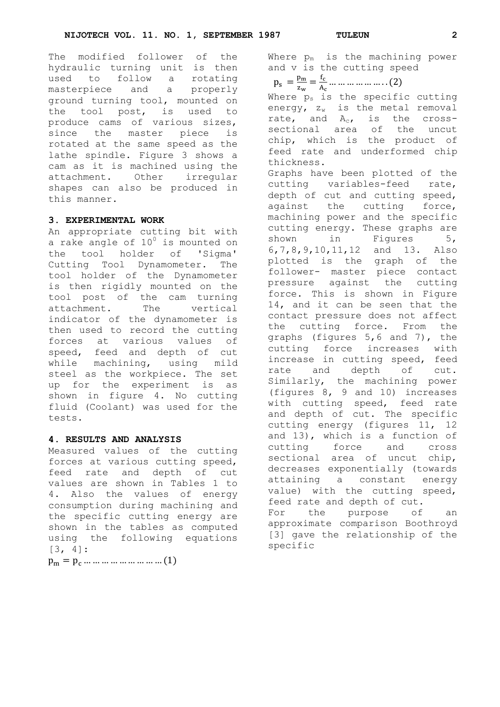The modified follower of the hydraulic turning unit is then used to follow a rotating masterpiece and a properly ground turning tool, mounted on the tool post, is used to produce cams of various sizes, since the master piece is rotated at the same speed as the lathe spindle. Figure 3 shows a cam as it is machined using the attachment. Other irregular shapes can also be produced in this manner.

# **3. EXPERIMENTAL WORK**

An appropriate cutting bit with a rake angle of  $10^0$  is mounted on the tool holder of 'Sigma' Cutting Tool Dynamometer. The tool holder of the Dynamometer is then rigidly mounted on the tool post of the cam turning attachment. The vertical indicator of the dynamometer is then used to record the cutting forces at various values of speed, feed and depth of cut while machining, using mild steel as the workpiece. The set up for the experiment is as shown in figure 4. No cutting fluid (Coolant) was used for the tests.

# **4. RESULTS AND ANALYSIS**

Measured values of the cutting forces at various cutting speed, feed rate and depth of cut values are shown in Tables 1 to 4. Also the values of energy consumption during machining and the specific cutting energy are shown in the tables as computed using the following equations [3, 4]:

 $p_m = p_c \dots \dots \dots \dots \dots \dots \dots (1)$ 

Where  $p_m$  is the machining power and v is the cutting speed

 $p_s = \frac{p}{a}$  $\frac{p_m}{z_w} = \frac{f}{A}$  $\frac{1_c}{A_c}$  ...

Where  $p_s$  is the specific cutting energy,  $z_w$  is the metal removal rate, and  $A_c$ , is the crosssectional area of the uncut chip, which is the product of feed rate and underformed chip thickness. Graphs have been plotted of the cutting variables-feed rate, depth of cut and cutting speed, against the cutting force, machining power and the specific cutting energy. These graphs are shown in Figures 5, 6,7,8,9,10,11,12 and 13. Also plotted is the graph of the follower- master piece contact pressure against the cutting force. This is shown in Figure 14, and it can be seen that the contact pressure does not affect the cutting force. From the graphs (figures 5,6 and 7), the cutting force increases with increase in cutting speed, feed rate and depth of cut. Similarly, the machining power (figures 8, 9 and 10) increases with cutting speed, feed rate and depth of cut. The specific cutting energy (figures 11, 12 and 13), which is a function of cutting force and cross sectional area of uncut chip, decreases exponentially (towards attaining a constant energy value) with the cutting speed, feed rate and depth of cut. For the purpose of an approximate comparison Boothroyd [3] gave the relationship of the specific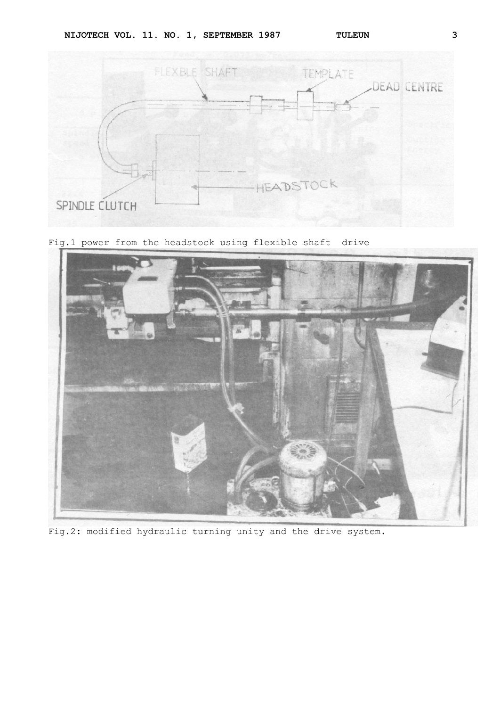



Fig.1 power from the headstock using flexible shaft drive



Fig.2: modified hydraulic turning unity and the drive system.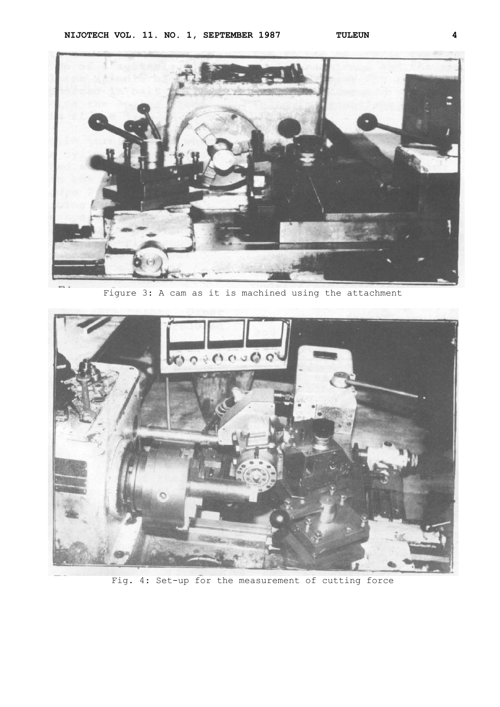

Figure 3: A cam as it is machined using the attachment



Fig. 4: Set-up for the measurement of cutting force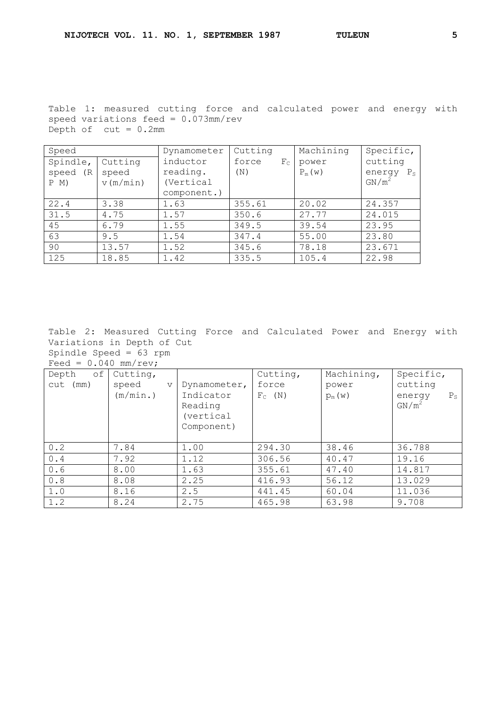Table 1: measured cutting force and calculated power and energy with speed variations feed = 0.073mm/rev Depth of  $cut = 0.2mm$ 

| Speed        |          | Dynamometer | Cutting              | Machining | Specific,             |
|--------------|----------|-------------|----------------------|-----------|-----------------------|
| Spindle,     | Cutting  | inductor    | force<br>$F_{\rm C}$ | power     | cutting               |
| speed<br>(R) | speed    | reading.    | (N)                  | $P_m(w)$  | energy<br>$P_{\rm S}$ |
| P M)         | v(m/min) | (Vertical   |                      |           | $GN/m^2$              |
|              |          | component.) |                      |           |                       |
| 22.4         | 3.38     | 1.63        | 355.61               | 20.02     | 24.357                |
| 31.5         | 4.75     | 1.57        | 350.6                | 27.77     | 24.015                |
| 45           | 6.79     | 1.55        | 349.5                | 39.54     | 23.95                 |
| 63           | 9.5      | 1.54        | 347.4                | 55.00     | 23.80                 |
| 90           | 13.57    | 1.52        | 345.6                | 78.18     | 23.671                |
| 125          | 18.85    | 1.42        | 335.5                | 105.4     | 22.98                 |

Table 2: Measured Cutting Force and Calculated Power and Energy with Variations in Depth of Cut

Spindle Speed = 63 rpm Feed =  $0.040$  mm/rev;

| оf<br>Depth | Cutting,                 |                                   | Cutting,  | Machining, | Specific,                         |
|-------------|--------------------------|-----------------------------------|-----------|------------|-----------------------------------|
| (mm)<br>cut | speed<br>$\triangledown$ | Dynamometer,                      | force     | power      | cutting                           |
|             | (m/min.)                 | Indicator<br>Reading<br>(vertical | $F_C$ (N) | $p_m(w)$   | $P_{\rm S}$<br>energy<br>$GN/m^2$ |
|             |                          | Component)                        |           |            |                                   |
| 0.2         | 7.84                     | 1.00                              | 294.30    | 38.46      | 36.788                            |
| 0.4         | 7.92                     | 1.12                              | 306.56    | 40.47      | 19.16                             |
| 0.6         | 8.00                     | 1.63                              | 355.61    | 47.40      | 14.817                            |
| 0.8         | 8.08                     | 2.25                              | 416.93    | 56.12      | 13.029                            |
| 1.0         | 8.16                     | 2.5                               | 441.45    | 60.04      | 11.036                            |
| 1.2         | 8.24                     | 2.75                              | 465.98    | 63.98      | 9.708                             |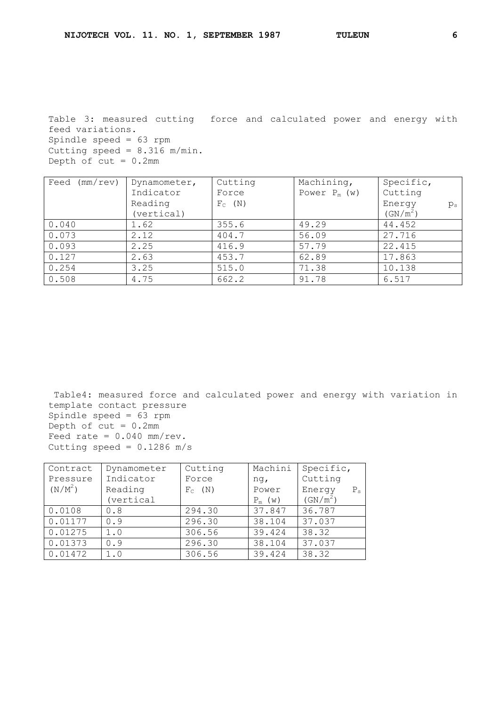Table 3: measured cutting force and calculated power and energy with feed variations. Spindle speed = 63 rpm Cutting speed =  $8.316$  m/min. Depth of  $cut = 0.2mm$ 

| (mm/rev)<br>Feed | Dynamometer, | Cutting   | Machining,     | Specific,            |
|------------------|--------------|-----------|----------------|----------------------|
|                  | Indicator    | Force     | Power $P_m(w)$ | Cutting              |
|                  | Reading      | $F_C$ (N) |                | Energy<br>$p_{s}$    |
|                  | (vertical)   |           |                | (GN/m <sup>2</sup> ) |
| 0.040            | 1.62         | 355.6     | 49.29          | 44.452               |
| 0.073            | 2.12         | 404.7     | 56.09          | 27.716               |
| 0.093            | 2.25         | 416.9     | 57.79          | 22.415               |
| 0.127            | 2.63         | 453.7     | 62.89          | 17.863               |
| 0.254            | 3.25         | 515.0     | 71.38          | 10.138               |
| 0.508            | 4.75         | 662.2     | 91.78          | 6.517                |

Table4: measured force and calculated power and energy with variation in template contact pressure Spindle speed = 63 rpm Depth of  $cut = 0.2mm$ Feed rate =  $0.040$  mm/rev. Cutting speed =  $0.1286$  m/s

| Contract  | Dynamometer | Cutting   | Machini   | Specific,              |
|-----------|-------------|-----------|-----------|------------------------|
| Pressure  | Indicator   | Force     | ng,       | Cutting                |
| $(N/M^2)$ | Reading     | $F_C$ (N) | Power     | Energy<br>$P_{\infty}$ |
|           | (vertical   |           | $P_m$ (w) | (GN/m <sup>2</sup> )   |
| 0.0108    | 0.8         | 294.30    | 37.847    | 36.787                 |
| 0.01177   | 0.9         | 296.30    | 38.104    | 37.037                 |
| 0.01275   | 1.0         | 306.56    | 39.424    | 38.32                  |
| 0.01373   | 0.9         | 296.30    | 38.104    | 37.037                 |
| 0.01472   | 1.0         | 306.56    | 39.424    | 38.32                  |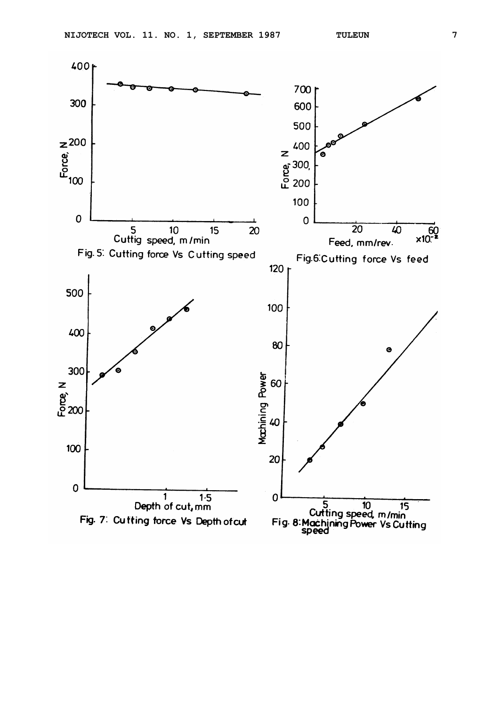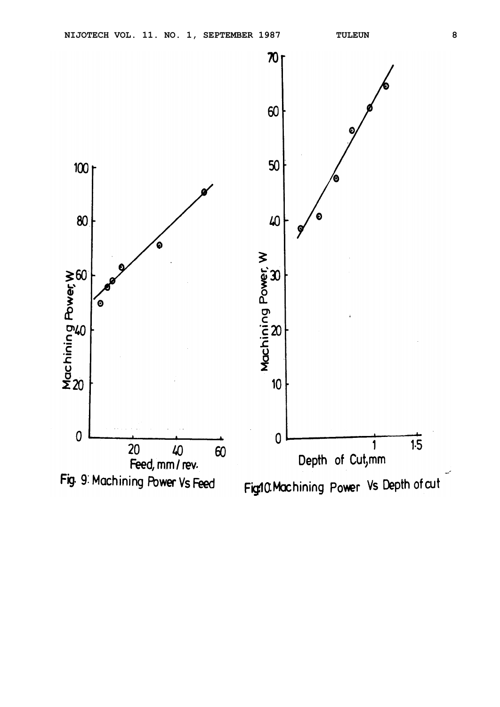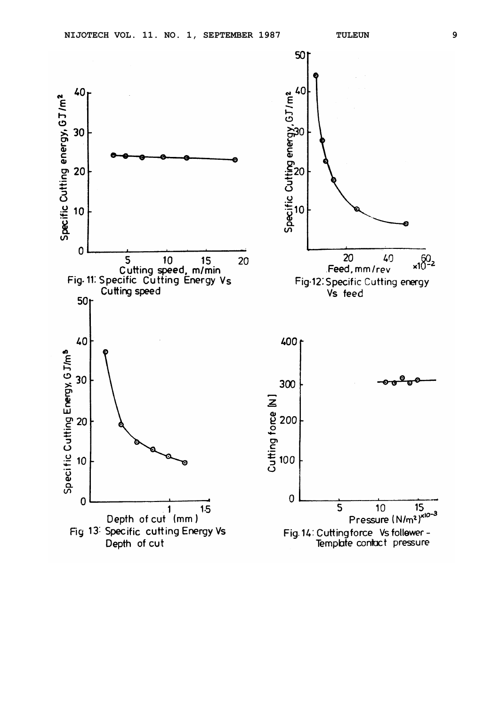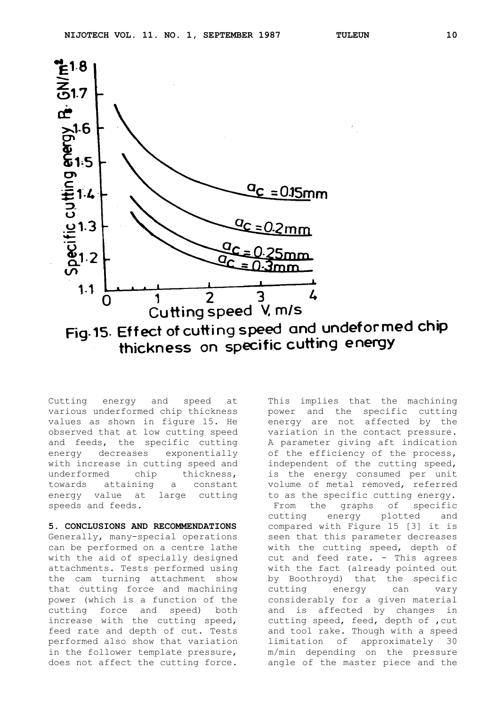

thickness on specific cutting energy

Cutting energy and speed at various underformed chip thickness values as shown in figure 15. He observed that at low cutting speed and feeds, the specific cutting energy decreases exponentially with increase in cutting speed and underformed chip thickness, towards attaining a constant energy value at large cutting speeds and feeds.

# **5. CONCLUSIONS AND RECOMMENDATIONS**

Generally, many-special operations can be performed on a centre lathe with the aid of specially designed attachments. Tests performed using the cam turning attachment show that cutting force and machining power (which is a function of the cutting force and speed) both increase with the cutting speed, feed rate and depth of cut. Tests performed also show that variation in the follower template pressure, does not affect the cutting force.

This implies that the machining power and the specific cutting energy are not affected by the variation in the contact pressure. A parameter giving aft indication of the efficiency of the process, independent of the cutting speed, is the energy consumed per unit volume of metal removed, referred to as the specific cutting energy. From the graphs of specific cutting energy plotted and compared with Figure 15 [3] it is seen that this parameter decreases with the cutting speed, depth of cut and feed rate. - This agrees with the fact (already pointed out by Boothroyd) that the specific cutting energy can vary considerably for a given material and is affected by changes in cutting speed, feed, depth of ,cut and tool rake. Though with a speed limitation of approximately 30 m/min depending on the pressure angle of the master piece and the